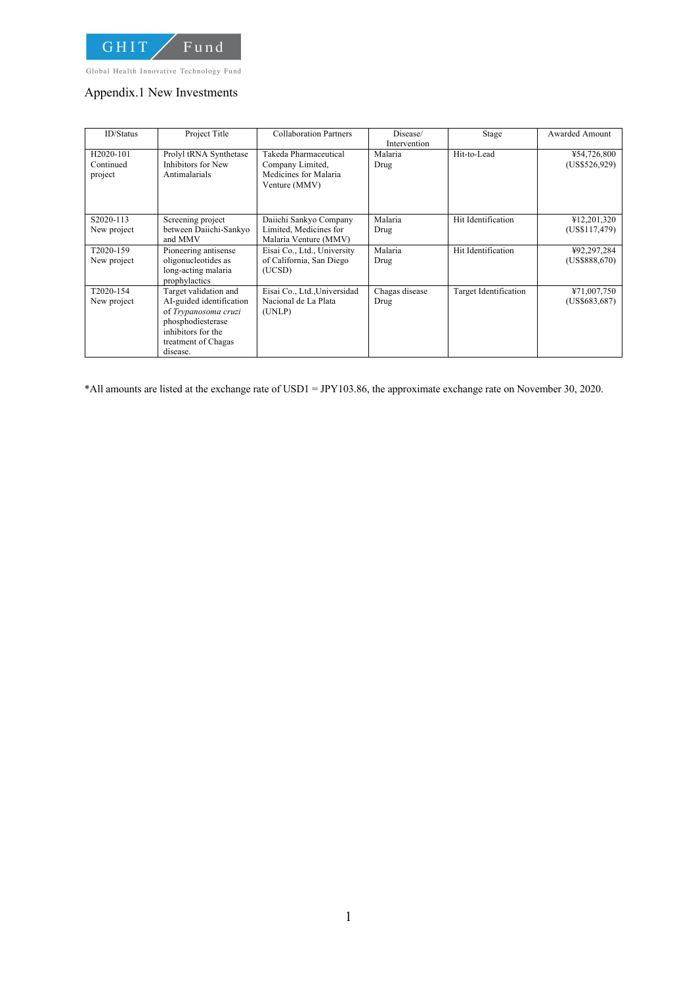

Global Health Innovative Technology Fund

### Appendix.1 New Investments

| <b>ID/Status</b>                               | Project Title                                                                                                                                           | <b>Collaboration Partners</b>                                                       | Disease/<br>Intervention | Stage                 | <b>Awarded Amount</b>        |
|------------------------------------------------|---------------------------------------------------------------------------------------------------------------------------------------------------------|-------------------------------------------------------------------------------------|--------------------------|-----------------------|------------------------------|
| H <sub>2020</sub> -101<br>Continued<br>project | Prolyl tRNA Synthetase<br>Inhibitors for New<br>Antimalarials                                                                                           | Takeda Pharmaceutical<br>Company Limited,<br>Medicines for Malaria<br>Venture (MMV) | Malaria<br>Drug          | Hit-to-Lead           | ¥54,726,800<br>(US\$526,929) |
| S2020-113<br>New project                       | Screening project<br>between Daiichi-Sankyo<br>and MMV                                                                                                  | Daiichi Sankyo Company<br>Limited, Medicines for<br>Malaria Venture (MMV)           | Malaria<br>Drug          | Hit Identification    | ¥12,201,320<br>(US\$117,479) |
| T2020-159<br>New project                       | Pioneering antisense<br>oligonucleotides as<br>long-acting malaria<br>prophylactics                                                                     | Eisai Co., Ltd., University<br>of California, San Diego<br>(UCSD)                   | Malaria<br>Drug          | Hit Identification    | ¥92,297,284<br>(US\$888.670) |
| T2020-154<br>New project                       | Target validation and<br>AI-guided identification<br>of Trypanosoma cruzi<br>phosphodiesterase<br>inhibitors for the<br>treatment of Chagas<br>disease. | Eisai Co., Ltd., Universidad<br>Nacional de La Plata<br>(UNLP)                      | Chagas disease<br>Drug   | Target Identification | ¥71,007,750<br>(US\$683,687) |

\*All amounts are listed at the exchange rate of USD1 = JPY103.86, the approximate exchange rate on November 30, 2020.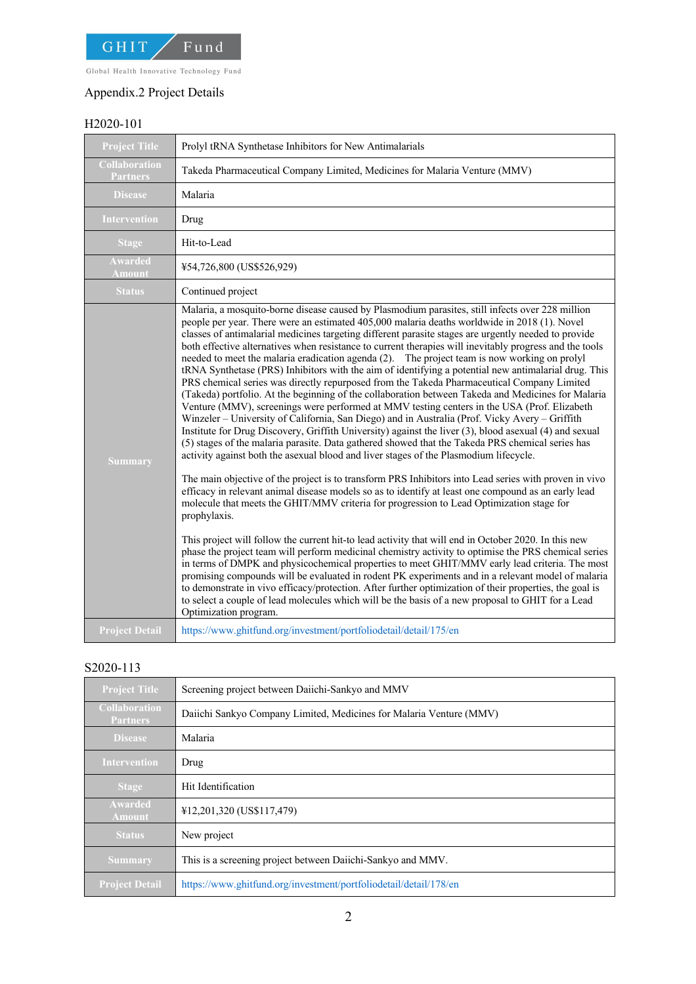

# Appendix.2 Project Details

# H2020-101

| <b>Project Title</b>                    | Prolyl tRNA Synthetase Inhibitors for New Antimalarials                                                                                                                                                                                                                                                                                                                                                                                                                                                                                                                                                                                                                                                                                                                                                                                                                                                                                                                                                                                                                                                                                                                                                                                                                                                                                                                                                                                                                                                                                                                                                                                                                                                                                                                                                                                                                                                                                                                                                                                                                                                                                                                                                                                                                                                                             |  |  |
|-----------------------------------------|-------------------------------------------------------------------------------------------------------------------------------------------------------------------------------------------------------------------------------------------------------------------------------------------------------------------------------------------------------------------------------------------------------------------------------------------------------------------------------------------------------------------------------------------------------------------------------------------------------------------------------------------------------------------------------------------------------------------------------------------------------------------------------------------------------------------------------------------------------------------------------------------------------------------------------------------------------------------------------------------------------------------------------------------------------------------------------------------------------------------------------------------------------------------------------------------------------------------------------------------------------------------------------------------------------------------------------------------------------------------------------------------------------------------------------------------------------------------------------------------------------------------------------------------------------------------------------------------------------------------------------------------------------------------------------------------------------------------------------------------------------------------------------------------------------------------------------------------------------------------------------------------------------------------------------------------------------------------------------------------------------------------------------------------------------------------------------------------------------------------------------------------------------------------------------------------------------------------------------------------------------------------------------------------------------------------------------------|--|--|
| <b>Collaboration</b><br><b>Partners</b> | Takeda Pharmaceutical Company Limited, Medicines for Malaria Venture (MMV)                                                                                                                                                                                                                                                                                                                                                                                                                                                                                                                                                                                                                                                                                                                                                                                                                                                                                                                                                                                                                                                                                                                                                                                                                                                                                                                                                                                                                                                                                                                                                                                                                                                                                                                                                                                                                                                                                                                                                                                                                                                                                                                                                                                                                                                          |  |  |
| <b>Disease</b>                          | Malaria                                                                                                                                                                                                                                                                                                                                                                                                                                                                                                                                                                                                                                                                                                                                                                                                                                                                                                                                                                                                                                                                                                                                                                                                                                                                                                                                                                                                                                                                                                                                                                                                                                                                                                                                                                                                                                                                                                                                                                                                                                                                                                                                                                                                                                                                                                                             |  |  |
| <b>Intervention</b>                     | Drug                                                                                                                                                                                                                                                                                                                                                                                                                                                                                                                                                                                                                                                                                                                                                                                                                                                                                                                                                                                                                                                                                                                                                                                                                                                                                                                                                                                                                                                                                                                                                                                                                                                                                                                                                                                                                                                                                                                                                                                                                                                                                                                                                                                                                                                                                                                                |  |  |
| <b>Stage</b>                            | Hit-to-Lead                                                                                                                                                                                                                                                                                                                                                                                                                                                                                                                                                                                                                                                                                                                                                                                                                                                                                                                                                                                                                                                                                                                                                                                                                                                                                                                                                                                                                                                                                                                                                                                                                                                                                                                                                                                                                                                                                                                                                                                                                                                                                                                                                                                                                                                                                                                         |  |  |
| <b>Awarded</b><br><b>Amount</b>         | ¥54,726,800 (US\$526,929)                                                                                                                                                                                                                                                                                                                                                                                                                                                                                                                                                                                                                                                                                                                                                                                                                                                                                                                                                                                                                                                                                                                                                                                                                                                                                                                                                                                                                                                                                                                                                                                                                                                                                                                                                                                                                                                                                                                                                                                                                                                                                                                                                                                                                                                                                                           |  |  |
| <b>Status</b>                           | Continued project                                                                                                                                                                                                                                                                                                                                                                                                                                                                                                                                                                                                                                                                                                                                                                                                                                                                                                                                                                                                                                                                                                                                                                                                                                                                                                                                                                                                                                                                                                                                                                                                                                                                                                                                                                                                                                                                                                                                                                                                                                                                                                                                                                                                                                                                                                                   |  |  |
| <b>Summary</b>                          | Malaria, a mosquito-borne disease caused by Plasmodium parasites, still infects over 228 million<br>people per year. There were an estimated 405,000 malaria deaths worldwide in 2018 (1). Novel<br>classes of antimalarial medicines targeting different parasite stages are urgently needed to provide<br>both effective alternatives when resistance to current therapies will inevitably progress and the tools<br>needed to meet the malaria eradication agenda (2). The project team is now working on prolyl<br>tRNA Synthetase (PRS) Inhibitors with the aim of identifying a potential new antimalarial drug. This<br>PRS chemical series was directly repurposed from the Takeda Pharmaceutical Company Limited<br>(Takeda) portfolio. At the beginning of the collaboration between Takeda and Medicines for Malaria<br>Venture (MMV), screenings were performed at MMV testing centers in the USA (Prof. Elizabeth<br>Winzeler - University of California, San Diego) and in Australia (Prof. Vicky Avery - Griffith<br>Institute for Drug Discovery, Griffith University) against the liver (3), blood asexual (4) and sexual<br>(5) stages of the malaria parasite. Data gathered showed that the Takeda PRS chemical series has<br>activity against both the asexual blood and liver stages of the Plasmodium lifecycle.<br>The main objective of the project is to transform PRS Inhibitors into Lead series with proven in vivo<br>efficacy in relevant animal disease models so as to identify at least one compound as an early lead<br>molecule that meets the GHIT/MMV criteria for progression to Lead Optimization stage for<br>prophylaxis.<br>This project will follow the current hit-to lead activity that will end in October 2020. In this new<br>phase the project team will perform medicinal chemistry activity to optimise the PRS chemical series<br>in terms of DMPK and physicochemical properties to meet GHIT/MMV early lead criteria. The most<br>promising compounds will be evaluated in rodent PK experiments and in a relevant model of malaria<br>to demonstrate in vivo efficacy/protection. After further optimization of their properties, the goal is<br>to select a couple of lead molecules which will be the basis of a new proposal to GHIT for a Lead<br>Optimization program. |  |  |
| <b>Project Detail</b>                   | https://www.ghitfund.org/investment/portfoliodetail/detail/175/en                                                                                                                                                                                                                                                                                                                                                                                                                                                                                                                                                                                                                                                                                                                                                                                                                                                                                                                                                                                                                                                                                                                                                                                                                                                                                                                                                                                                                                                                                                                                                                                                                                                                                                                                                                                                                                                                                                                                                                                                                                                                                                                                                                                                                                                                   |  |  |

## S2020-113

| <b>Project Title</b>                    | Screening project between Daiichi-Sankyo and MMV                    |  |
|-----------------------------------------|---------------------------------------------------------------------|--|
| <b>Collaboration</b><br><b>Partners</b> | Daiichi Sankyo Company Limited, Medicines for Malaria Venture (MMV) |  |
| <b>Disease</b>                          | Malaria                                                             |  |
| <b>Intervention</b>                     | Drug                                                                |  |
| <b>Stage</b>                            | Hit Identification                                                  |  |
| Awarded<br><b>Amount</b>                | ¥12,201,320 (US\$117,479)                                           |  |
| <b>Status</b>                           | New project                                                         |  |
| <b>Summary</b>                          | This is a screening project between Daiichi-Sankyo and MMV.         |  |
| <b>Project Detail</b>                   | https://www.ghitfund.org/investment/portfoliodetail/detail/178/en   |  |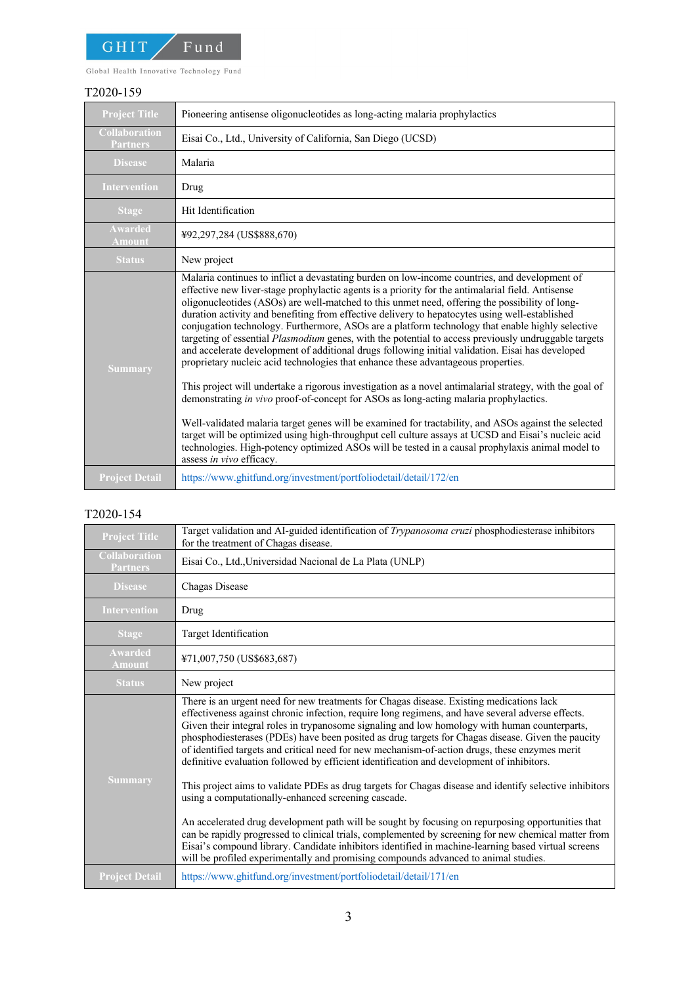

Global Health Innovative Technology Fund

#### T2020-159

| <b>Project Title</b>                    | Pioneering antisense oligonucleotides as long-acting malaria prophylactics                                                                                                                                                                                                                                                                                                                                                                                                                                                                                                                                                                                                                                                                                                                                                                                                                                                                                                                                                                                                                                                                                                                                                                                                                                                                                     |  |  |
|-----------------------------------------|----------------------------------------------------------------------------------------------------------------------------------------------------------------------------------------------------------------------------------------------------------------------------------------------------------------------------------------------------------------------------------------------------------------------------------------------------------------------------------------------------------------------------------------------------------------------------------------------------------------------------------------------------------------------------------------------------------------------------------------------------------------------------------------------------------------------------------------------------------------------------------------------------------------------------------------------------------------------------------------------------------------------------------------------------------------------------------------------------------------------------------------------------------------------------------------------------------------------------------------------------------------------------------------------------------------------------------------------------------------|--|--|
| <b>Collaboration</b><br><b>Partners</b> | Eisai Co., Ltd., University of California, San Diego (UCSD)                                                                                                                                                                                                                                                                                                                                                                                                                                                                                                                                                                                                                                                                                                                                                                                                                                                                                                                                                                                                                                                                                                                                                                                                                                                                                                    |  |  |
| <b>Disease</b>                          | Malaria                                                                                                                                                                                                                                                                                                                                                                                                                                                                                                                                                                                                                                                                                                                                                                                                                                                                                                                                                                                                                                                                                                                                                                                                                                                                                                                                                        |  |  |
| <b>Intervention</b>                     | Drug                                                                                                                                                                                                                                                                                                                                                                                                                                                                                                                                                                                                                                                                                                                                                                                                                                                                                                                                                                                                                                                                                                                                                                                                                                                                                                                                                           |  |  |
| <b>Stage</b>                            | Hit Identification                                                                                                                                                                                                                                                                                                                                                                                                                                                                                                                                                                                                                                                                                                                                                                                                                                                                                                                                                                                                                                                                                                                                                                                                                                                                                                                                             |  |  |
| <b>Awarded</b><br><b>Amount</b>         | ¥92,297,284 (US\$888,670)                                                                                                                                                                                                                                                                                                                                                                                                                                                                                                                                                                                                                                                                                                                                                                                                                                                                                                                                                                                                                                                                                                                                                                                                                                                                                                                                      |  |  |
| <b>Status</b>                           | New project                                                                                                                                                                                                                                                                                                                                                                                                                                                                                                                                                                                                                                                                                                                                                                                                                                                                                                                                                                                                                                                                                                                                                                                                                                                                                                                                                    |  |  |
| <b>Summary</b>                          | Malaria continues to inflict a devastating burden on low-income countries, and development of<br>effective new liver-stage prophylactic agents is a priority for the antimalarial field. Antisense<br>oligonucleotides (ASOs) are well-matched to this unmet need, offering the possibility of long-<br>duration activity and benefiting from effective delivery to hepatocytes using well-established<br>conjugation technology. Furthermore, ASOs are a platform technology that enable highly selective<br>targeting of essential Plasmodium genes, with the potential to access previously undruggable targets<br>and accelerate development of additional drugs following initial validation. Eisai has developed<br>proprietary nucleic acid technologies that enhance these advantageous properties.<br>This project will undertake a rigorous investigation as a novel antimalarial strategy, with the goal of<br>demonstrating in vivo proof-of-concept for ASOs as long-acting malaria prophylactics.<br>Well-validated malaria target genes will be examined for tractability, and ASOs against the selected<br>target will be optimized using high-throughput cell culture assays at UCSD and Eisai's nucleic acid<br>technologies. High-potency optimized ASOs will be tested in a causal prophylaxis animal model to<br>assess in vivo efficacy. |  |  |
| <b>Project Detail</b>                   | https://www.ghitfund.org/investment/portfoliodetail/detail/172/en                                                                                                                                                                                                                                                                                                                                                                                                                                                                                                                                                                                                                                                                                                                                                                                                                                                                                                                                                                                                                                                                                                                                                                                                                                                                                              |  |  |

### T2020-154

| <b>Project Title</b>                    | Target validation and AI-guided identification of Trypanosoma cruzi phosphodiesterase inhibitors<br>for the treatment of Chagas disease.                                                                                                                                                                                                                                                                                                                                                                                                                                                           |  |  |
|-----------------------------------------|----------------------------------------------------------------------------------------------------------------------------------------------------------------------------------------------------------------------------------------------------------------------------------------------------------------------------------------------------------------------------------------------------------------------------------------------------------------------------------------------------------------------------------------------------------------------------------------------------|--|--|
| <b>Collaboration</b><br><b>Partners</b> | Eisai Co., Ltd., Universidad Nacional de La Plata (UNLP)                                                                                                                                                                                                                                                                                                                                                                                                                                                                                                                                           |  |  |
| <b>Disease</b>                          | Chagas Disease                                                                                                                                                                                                                                                                                                                                                                                                                                                                                                                                                                                     |  |  |
| <b>Intervention</b>                     | Drug                                                                                                                                                                                                                                                                                                                                                                                                                                                                                                                                                                                               |  |  |
| <b>Stage</b>                            | Target Identification                                                                                                                                                                                                                                                                                                                                                                                                                                                                                                                                                                              |  |  |
| <b>Awarded</b><br><b>Amount</b>         | ¥71,007,750 (US\$683,687)                                                                                                                                                                                                                                                                                                                                                                                                                                                                                                                                                                          |  |  |
| <b>Status</b>                           | New project                                                                                                                                                                                                                                                                                                                                                                                                                                                                                                                                                                                        |  |  |
| <b>Summary</b>                          | There is an urgent need for new treatments for Chagas disease. Existing medications lack<br>effectiveness against chronic infection, require long regimens, and have several adverse effects.<br>Given their integral roles in trypanosome signaling and low homology with human counterparts,<br>phosphodiesterases (PDEs) have been posited as drug targets for Chagas disease. Given the paucity<br>of identified targets and critical need for new mechanism-of-action drugs, these enzymes merit<br>definitive evaluation followed by efficient identification and development of inhibitors. |  |  |
|                                         | This project aims to validate PDEs as drug targets for Chagas disease and identify selective inhibitors<br>using a computationally-enhanced screening cascade.                                                                                                                                                                                                                                                                                                                                                                                                                                     |  |  |
|                                         | An accelerated drug development path will be sought by focusing on repurposing opportunities that<br>can be rapidly progressed to clinical trials, complemented by screening for new chemical matter from<br>Eisai's compound library. Candidate inhibitors identified in machine-learning based virtual screens<br>will be profiled experimentally and promising compounds advanced to animal studies.                                                                                                                                                                                            |  |  |
| <b>Project Detail</b>                   | https://www.ghitfund.org/investment/portfoliodetail/detail/171/en                                                                                                                                                                                                                                                                                                                                                                                                                                                                                                                                  |  |  |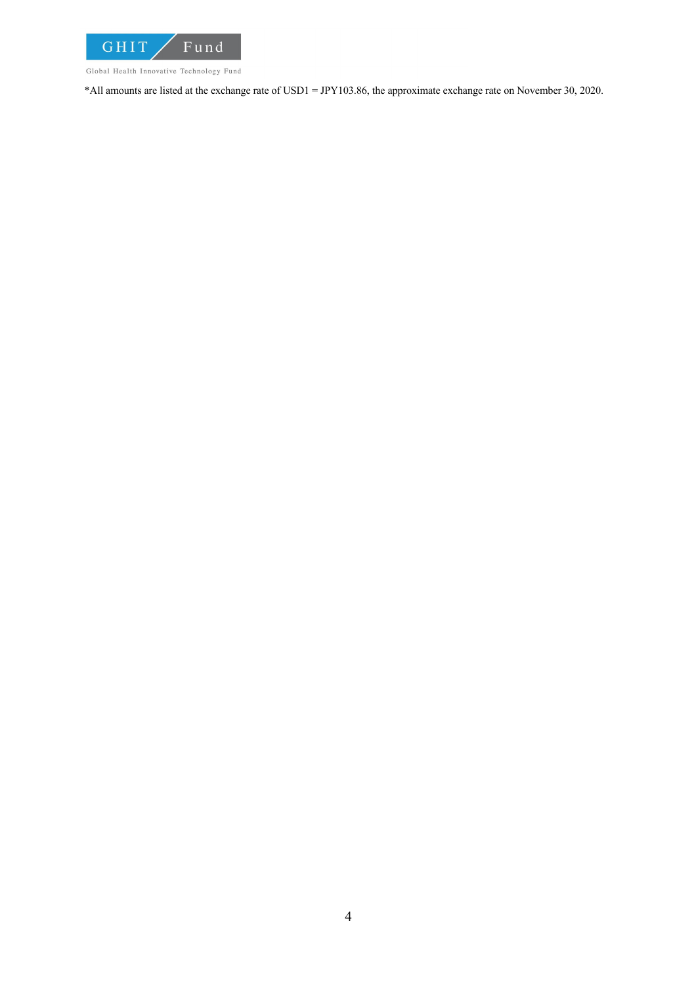

Global Health Innovative Technology Fund

\*All amounts are listed at the exchange rate of USD1 = JPY103.86, the approximate exchange rate on November 30, 2020.